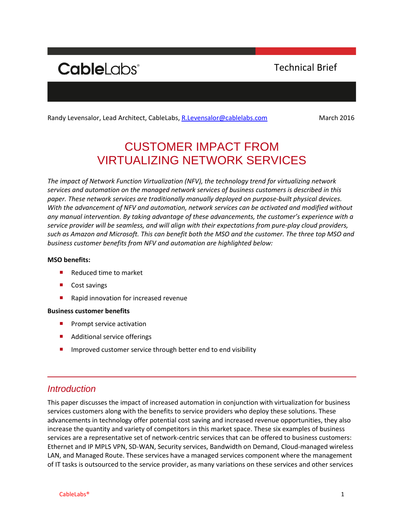# **CableLabs**<sup>®</sup>

Technical Brief

Randy Levensalor, Lead Architect, CableLabs, [R.Levensalor@cablelabs.com](mailto:R.Levensalor@cablelabs.com) March 2016

## CUSTOMER IMPACT FROM VIRTUALIZING NETWORK SERVICES

*The impact of Network Function Virtualization (NFV), the technology trend for virtualizing network services and automation on the managed network services of business customers is described in this paper. These network services are traditionally manually deployed on purpose-built physical devices. With the advancement of NFV and automation, network services can be activated and modified without any manual intervention. By taking advantage of these advancements, the customer's experience with a service provider will be seamless, and will align with their expectations from pure-play cloud providers, such as Amazon and Microsoft. This can benefit both the MSO and the customer. The three top MSO and business customer benefits from NFV and automation are highlighted below:*

#### **MSO benefits:**

- Reduced time to market
- Cost savings
- Rapid innovation for increased revenue

#### **Business customer benefits**

- $\blacksquare$  Prompt service activation
- Additional service offerings
- Improved customer service through better end to end visibility

#### *Introduction*

This paper discusses the impact of increased automation in conjunction with virtualization for business services customers along with the benefits to service providers who deploy these solutions. These advancements in technology offer potential cost saving and increased revenue opportunities, they also increase the quantity and variety of competitors in this market space. These six examples of business services are a representative set of network-centric services that can be offered to business customers: Ethernet and IP MPLS VPN, SD-WAN, Security services, Bandwidth on Demand, Cloud-managed wireless LAN, and Managed Route. These services have a managed services component where the management of IT tasks is outsourced to the service provider, as many variations on these services and other services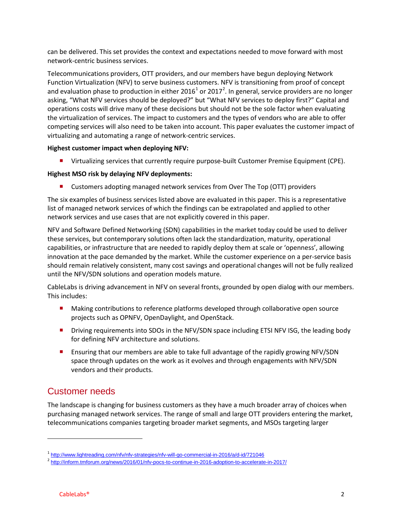can be delivered. This set provides the context and expectations needed to move forward with most network-centric business services.

Telecommunications providers, OTT providers, and our members have begun deploying Network Function Virtualization (NFV) to serve business customers. NFV is transitioning from proof of concept and evaluation phase to production in either 20[1](#page-1-0)6<sup>1</sup> or [2](#page-1-1)017<sup>2</sup>. In general, service providers are no longer asking, "What NFV services should be deployed?" but "What NFV services to deploy first?" Capital and operations costs will drive many of these decisions but should not be the sole factor when evaluating the virtualization of services. The impact to customers and the types of vendors who are able to offer competing services will also need to be taken into account. This paper evaluates the customer impact of virtualizing and automating a range of network-centric services.

#### **Highest customer impact when deploying NFV:**

**U** Virtualizing services that currently require purpose-built Customer Premise Equipment (CPE).

#### **Highest MSO risk by delaying NFV deployments:**

**E** Customers adopting managed network services from Over The Top (OTT) providers

The six examples of business services listed above are evaluated in this paper. This is a representative list of managed network services of which the findings can be extrapolated and applied to other network services and use cases that are not explicitly covered in this paper.

NFV and Software Defined Networking (SDN) capabilities in the market today could be used to deliver these services, but contemporary solutions often lack the standardization, maturity, operational capabilities, or infrastructure that are needed to rapidly deploy them at scale or 'openness', allowing innovation at the pace demanded by the market. While the customer experience on a per-service basis should remain relatively consistent, many cost savings and operational changes will not be fully realized until the NFV/SDN solutions and operation models mature.

CableLabs is driving advancement in NFV on several fronts, grounded by open dialog with our members. This includes:

- **Making contributions to reference platforms developed through collaborative open source** projects such as OPNFV, OpenDaylight, and OpenStack.
- **Driving requirements into SDOs in the NFV/SDN space including ETSI NFV ISG, the leading body** for defining NFV architecture and solutions.
- **E** Ensuring that our members are able to take full advantage of the rapidly growing NFV/SDN space through updates on the work as it evolves and through engagements with NFV/SDN vendors and their products.

### Customer needs

The landscape is changing for business customers as they have a much broader array of choices when purchasing managed network services. The range of small and large OTT providers entering the market, telecommunications companies targeting broader market segments, and MSOs targeting larger

 $\overline{\phantom{a}}$ 

<span id="page-1-0"></span><sup>1</sup> <http://www.lightreading.com/nfv/nfv-strategies/nfv-will-go-commercial-in-2016/a/d-id/721046><br><sup>2</sup> <http://inform.tmforum.org/news/2016/01/nfv-pocs-to-continue-in-2016-adoption-to-accelerate-in-2017/>

<span id="page-1-1"></span>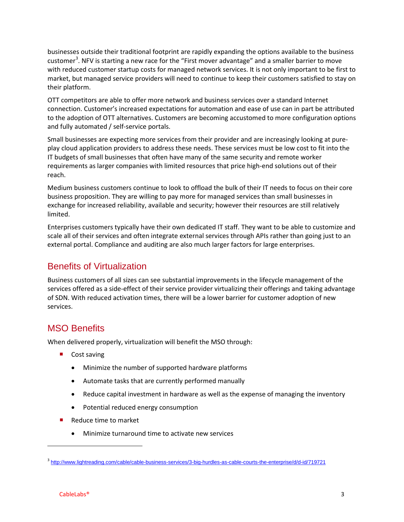businesses outside their traditional footprint are rapidly expanding the options available to the business customer<sup>[3](#page-2-0)</sup>. NFV is starting a new race for the "First mover advantage" and a smaller barrier to move with reduced customer startup costs for managed network services. It is not only important to be first to market, but managed service providers will need to continue to keep their customers satisfied to stay on their platform.

OTT competitors are able to offer more network and business services over a standard Internet connection. Customer's increased expectations for automation and ease of use can in part be attributed to the adoption of OTT alternatives. Customers are becoming accustomed to more configuration options and fully automated / self-service portals.

Small businesses are expecting more services from their provider and are increasingly looking at pureplay cloud application providers to address these needs. These services must be low cost to fit into the IT budgets of small businesses that often have many of the same security and remote worker requirements as larger companies with limited resources that price high-end solutions out of their reach.

Medium business customers continue to look to offload the bulk of their IT needs to focus on their core business proposition. They are willing to pay more for managed services than small businesses in exchange for increased reliability, available and security; however their resources are still relatively limited.

Enterprises customers typically have their own dedicated IT staff. They want to be able to customize and scale all of their services and often integrate external services through APIs rather than going just to an external portal. Compliance and auditing are also much larger factors for large enterprises.

## Benefits of Virtualization

Business customers of all sizes can see substantial improvements in the lifecycle management of the services offered as a side-effect of their service provider virtualizing their offerings and taking advantage of SDN. With reduced activation times, there will be a lower barrier for customer adoption of new services.

### MSO Benefits

When delivered properly, virtualization will benefit the MSO through:

- Cost saving
	- Minimize the number of supported hardware platforms
	- Automate tasks that are currently performed manually
	- Reduce capital investment in hardware as well as the expense of managing the inventory
	- Potential reduced energy consumption
- Reduce time to market
	- Minimize turnaround time to activate new services

 $\overline{\phantom{a}}$ 

<span id="page-2-0"></span><sup>3</sup> <http://www.lightreading.com/cable/cable-business-services/3-big-hurdles-as-cable-courts-the-enterprise/d/d-id/719721>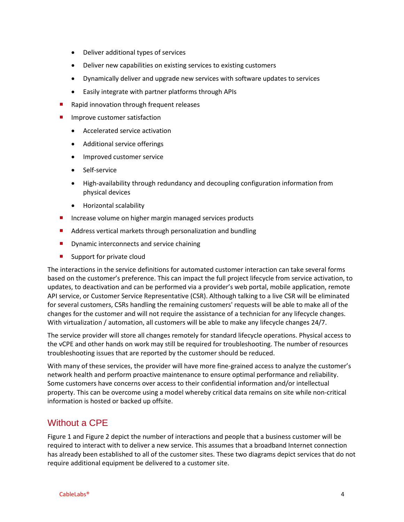- Deliver additional types of services
- Deliver new capabilities on existing services to existing customers
- Dynamically deliver and upgrade new services with software updates to services
- Easily integrate with partner platforms through APIs
- Rapid innovation through frequent releases
- Improve customer satisfaction
	- Accelerated service activation
	- Additional service offerings
	- Improved customer service
	- Self-service
	- High-availability through redundancy and decoupling configuration information from physical devices
	- Horizontal scalability
- Increase volume on higher margin managed services products
- Address vertical markets through personalization and bundling
- **Dynamic interconnects and service chaining**
- Support for private cloud

The interactions in the service definitions for automated customer interaction can take several forms based on the customer's preference. This can impact the full project lifecycle from service activation, to updates, to deactivation and can be performed via a provider's web portal, mobile application, remote API service, or Customer Service Representative (CSR). Although talking to a live CSR will be eliminated for several customers, CSRs handling the remaining customers' requests will be able to make all of the changes for the customer and will not require the assistance of a technician for any lifecycle changes. With virtualization / automation, all customers will be able to make any lifecycle changes 24/7.

The service provider will store all changes remotely for standard lifecycle operations. Physical access to the vCPE and other hands on work may still be required for troubleshooting. The number of resources troubleshooting issues that are reported by the customer should be reduced.

With many of these services, the provider will have more fine-grained access to analyze the customer's network health and perform proactive maintenance to ensure optimal performance and reliability. Some customers have concerns over access to their confidential information and/or intellectual property. This can be overcome using a model whereby critical data remains on site while non-critical information is hosted or backed up offsite.

### Without a CPE

[Figure 1](#page-4-0) an[d Figure 2](#page-4-1) depict the number of interactions and people that a business customer will be required to interact with to deliver a new service. This assumes that a broadband Internet connection has already been established to all of the customer sites. These two diagrams depict services that do not require additional equipment be delivered to a customer site.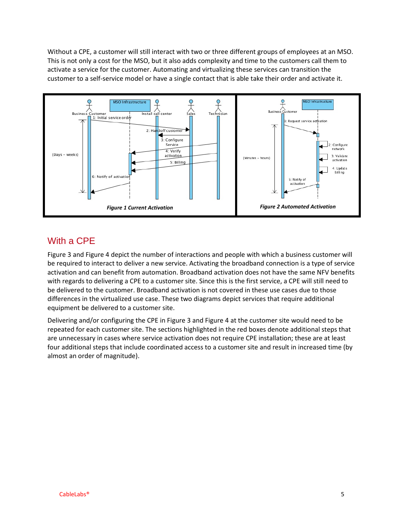Without a CPE, a customer will still interact with two or three different groups of employees at an MSO. This is not only a cost for the MSO, but it also adds complexity and time to the customers call them to activate a service for the customer. Automating and virtualizing these services can transition the customer to a self-service model or have a single contact that is able take their order and activate it.



## <span id="page-4-1"></span><span id="page-4-0"></span>With a CPE

[Figure 3](#page-5-0) an[d Figure 4](#page-5-1) depict the number of interactions and people with which a business customer will be required to interact to deliver a new service. Activating the broadband connection is a type of service activation and can benefit from automation. Broadband activation does not have the same NFV benefits with regards to delivering a CPE to a customer site. Since this is the first service, a CPE will still need to be delivered to the customer. Broadband activation is not covered in these use cases due to those differences in the virtualized use case. These two diagrams depict services that require additional equipment be delivered to a customer site.

Delivering and/or configuring the CPE in [Figure 3](#page-5-0) and [Figure 4](#page-5-1) at the customer site would need to be repeated for each customer site. The sections highlighted in the red boxes denote additional steps that are unnecessary in cases where service activation does not require CPE installation; these are at least four additional steps that include coordinated access to a customer site and result in increased time (by almost an order of magnitude).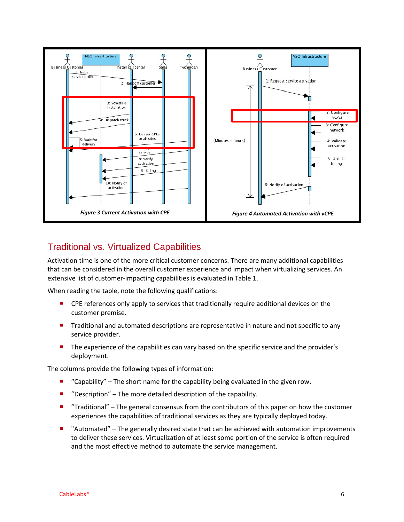

#### <span id="page-5-1"></span><span id="page-5-0"></span>Traditional vs. Virtualized Capabilities

Activation time is one of the more critical customer concerns. There are many additional capabilities that can be considered in the overall customer experience and impact when virtualizing services. An extensive list of customer-impacting capabilities is evaluated in [Table 1.](#page-6-0)

When reading the table, note the following qualifications:

- **P** CPE references only apply to services that traditionally require additional devices on the customer premise.
- **Traditional and automated descriptions are representative in nature and not specific to any** service provider.
- **The experience of the capabilities can vary based on the specific service and the provider's** deployment.

The columns provide the following types of information:

- " "Capability" The short name for the capability being evaluated in the given row.
- "Description" The more detailed description of the capability.
- "Traditional" The general consensus from the contributors of this paper on how the customer experiences the capabilities of traditional services as they are typically deployed today.
- "Automated" The generally desired state that can be achieved with automation improvements to deliver these services. Virtualization of at least some portion of the service is often required and the most effective method to automate the service management.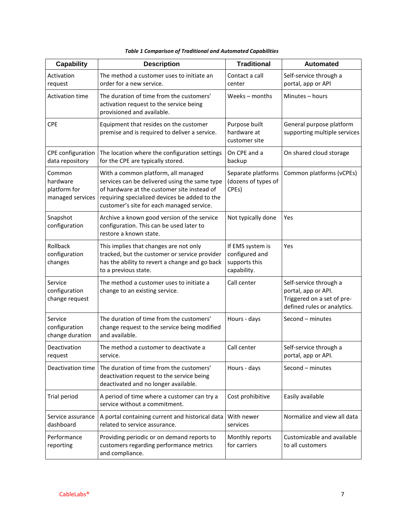<span id="page-6-0"></span>

| <b>Capability</b>                                      | <b>Description</b>                                                                                                                                                                                                                | <b>Traditional</b>                                                 | <b>Automated</b>                                                                                           |  |
|--------------------------------------------------------|-----------------------------------------------------------------------------------------------------------------------------------------------------------------------------------------------------------------------------------|--------------------------------------------------------------------|------------------------------------------------------------------------------------------------------------|--|
| Activation<br>request                                  | The method a customer uses to initiate an<br>order for a new service.                                                                                                                                                             | Contact a call<br>center                                           | Self-service through a<br>portal, app or API                                                               |  |
| <b>Activation time</b>                                 | The duration of time from the customers'<br>activation request to the service being<br>provisioned and available.                                                                                                                 | Weeks - months                                                     | Minutes - hours                                                                                            |  |
| <b>CPE</b>                                             | Equipment that resides on the customer<br>premise and is required to deliver a service.                                                                                                                                           | Purpose built<br>hardware at<br>customer site                      | General purpose platform<br>supporting multiple services                                                   |  |
| CPE configuration<br>data repository                   | The location where the configuration settings<br>for the CPE are typically stored.                                                                                                                                                | On CPE and a<br>backup                                             | On shared cloud storage                                                                                    |  |
| Common<br>hardware<br>platform for<br>managed services | With a common platform, all managed<br>services can be delivered using the same type<br>of hardware at the customer site instead of<br>requiring specialized devices be added to the<br>customer's site for each managed service. | Separate platforms<br>(dozens of types of<br>CPEs)                 | Common platforms (vCPEs)                                                                                   |  |
| Snapshot<br>configuration                              | Archive a known good version of the service<br>configuration. This can be used later to<br>restore a known state.                                                                                                                 | Not typically done                                                 | Yes                                                                                                        |  |
| Rollback<br>configuration<br>changes                   | This implies that changes are not only<br>tracked, but the customer or service provider<br>has the ability to revert a change and go back<br>to a previous state.                                                                 | If EMS system is<br>configured and<br>supports this<br>capability. | Yes                                                                                                        |  |
| Service<br>configuration<br>change request             | The method a customer uses to initiate a<br>change to an existing service.                                                                                                                                                        | Call center                                                        | Self-service through a<br>portal, app or API.<br>Triggered on a set of pre-<br>defined rules or analytics. |  |
| Service<br>configuration<br>change duration            | The duration of time from the customers'<br>change request to the service being modified<br>and available.                                                                                                                        | Hours - days                                                       | Second - minutes                                                                                           |  |
| Deactivation<br>request                                | The method a customer to deactivate a<br>service.                                                                                                                                                                                 | Call center                                                        | Self-service through a<br>portal, app or API.                                                              |  |
| Deactivation time                                      | The duration of time from the customers'<br>deactivation request to the service being<br>deactivated and no longer available.                                                                                                     | Hours - days                                                       | Second - minutes                                                                                           |  |
| Trial period                                           | A period of time where a customer can try a<br>service without a commitment.                                                                                                                                                      | Cost prohibitive                                                   | Easily available                                                                                           |  |
| Service assurance<br>dashboard                         | A portal containing current and historical data<br>related to service assurance.                                                                                                                                                  | With newer<br>services                                             | Normalize and view all data                                                                                |  |
| Performance<br>reporting                               | Providing periodic or on demand reports to<br>customers regarding performance metrics<br>and compliance.                                                                                                                          | Monthly reports<br>for carriers                                    | Customizable and available<br>to all customers                                                             |  |

|  |  |  | Table 1 Comparison of Traditional and Automated Capabilities |  |
|--|--|--|--------------------------------------------------------------|--|
|--|--|--|--------------------------------------------------------------|--|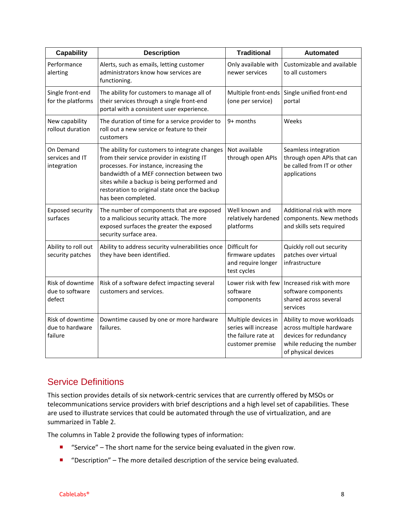| <b>Capability</b>                              | <b>Description</b>                                                                                                                                                                                                                                                                                          | <b>Traditional</b>                                                                     | <b>Automated</b>                                                                                                                    |
|------------------------------------------------|-------------------------------------------------------------------------------------------------------------------------------------------------------------------------------------------------------------------------------------------------------------------------------------------------------------|----------------------------------------------------------------------------------------|-------------------------------------------------------------------------------------------------------------------------------------|
| Performance<br>alerting                        | Alerts, such as emails, letting customer<br>administrators know how services are<br>functioning.                                                                                                                                                                                                            | Only available with<br>newer services                                                  | Customizable and available<br>to all customers                                                                                      |
| Single front-end<br>for the platforms          | The ability for customers to manage all of<br>their services through a single front-end<br>portal with a consistent user experience.                                                                                                                                                                        | Multiple front-ends<br>(one per service)                                               | Single unified front-end<br>portal                                                                                                  |
| New capability<br>rollout duration             | The duration of time for a service provider to<br>roll out a new service or feature to their<br>customers                                                                                                                                                                                                   | 9+ months                                                                              | Weeks                                                                                                                               |
| On Demand<br>services and IT<br>integration    | The ability for customers to integrate changes<br>from their service provider in existing IT<br>processes. For instance, increasing the<br>bandwidth of a MEF connection between two<br>sites while a backup is being performed and<br>restoration to original state once the backup<br>has been completed. | Not available<br>through open APIs                                                     | Seamless integration<br>through open APIs that can<br>be called from IT or other<br>applications                                    |
| <b>Exposed security</b><br>surfaces            | The number of components that are exposed<br>to a malicious security attack. The more<br>exposed surfaces the greater the exposed<br>security surface area.                                                                                                                                                 | Well known and<br>relatively hardened<br>platforms                                     | Additional risk with more<br>components. New methods<br>and skills sets required                                                    |
| Ability to roll out<br>security patches        | Ability to address security vulnerabilities once<br>they have been identified.                                                                                                                                                                                                                              | Difficult for<br>firmware updates<br>and require longer<br>test cycles                 | Quickly roll out security<br>patches over virtual<br>infrastructure                                                                 |
| Risk of downtime<br>due to software<br>defect  | Risk of a software defect impacting several<br>customers and services.                                                                                                                                                                                                                                      | Lower risk with few<br>software<br>components                                          | Increased risk with more<br>software components<br>shared across several<br>services                                                |
| Risk of downtime<br>due to hardware<br>failure | Downtime caused by one or more hardware<br>failures.                                                                                                                                                                                                                                                        | Multiple devices in<br>series will increase<br>the failure rate at<br>customer premise | Ability to move workloads<br>across multiple hardware<br>devices for redundancy<br>while reducing the number<br>of physical devices |

### Service Definitions

This section provides details of six network-centric services that are currently offered by MSOs or telecommunications service providers with brief descriptions and a high level set of capabilities. These are used to illustrate services that could be automated through the use of virtualization, and are summarized in [Table 2.](#page-8-0)

The columns in [Table 2](#page-8-0) provide the following types of information:

- "Service" The short name for the service being evaluated in the given row.
- "Description" The more detailed description of the service being evaluated.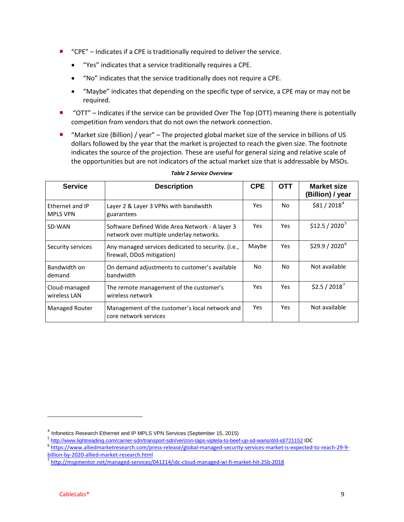- "CPE" Indicates if a CPE is traditionally required to deliver the service.
	- "Yes" indicates that a service traditionally requires a CPE.
	- "No" indicates that the service traditionally does not require a CPE.
	- "Maybe" indicates that depending on the specific type of service, a CPE may or may not be required.
- "OTT" Indicates if the service can be provided Over The Top (OTT) meaning there is potentially competition from vendors that do not own the network connection.
- "Market size (Billion) / year" The projected global market size of the service in billions of US dollars followed by the year that the market is projected to reach the given size. The footnote indicates the source of the projection. These are useful for general sizing and relative scale of the opportunities but are not indicators of the actual market size that is addressable by MSOs.

<span id="page-8-0"></span>

| <b>Service</b>                     | <b>Description</b>                                                                         | <b>CPE</b> | <b>OTT</b> | <b>Market size</b><br>(Billion) / year |
|------------------------------------|--------------------------------------------------------------------------------------------|------------|------------|----------------------------------------|
| Ethernet and IP<br><b>MPLS VPN</b> | Layer 2 & Layer 3 VPNs with bandwidth<br>guarantees                                        | Yes        | No.        | \$81 / 2018 <sup>4</sup>               |
| SD-WAN                             | Software Defined Wide Area Network - A layer 3<br>network over multiple underlay networks. | <b>Yes</b> | <b>Yes</b> | $$12.5 / 2020^5$                       |
| Security services                  | Any managed services dedicated to security. (i.e.,<br>firewall, DDoS mitigation)           | Maybe      | <b>Yes</b> | $$29.9 / 2020^6$                       |
| Bandwidth on<br>demand             | On demand adjustments to customer's available<br>bandwidth                                 | No.        | No.        | Not available                          |
| Cloud-managed<br>wireless LAN      | The remote management of the customer's<br>wireless network                                | <b>Yes</b> | Yes.       | $$2.5 / 2018$ <sup>7</sup>             |
| <b>Managed Router</b>              | Management of the customer's local network and<br>core network services                    | Yes        | Yes.       | Not available                          |

#### *Table 2 Service Overview*

l

<span id="page-8-2"></span><span id="page-8-1"></span>

<span id="page-8-3"></span>

<sup>&</sup>lt;sup>4</sup> Infonetics Research Ethernet and IP MPLS VPN Services (September 15, 2015)<br>
<sup>5</sup> <http://www.lightreading.com/carrier-sdn/transport-sdn/verizon-taps-viptela-to-beef-up-sd-wans/d/d-id/721152> IDC<br>
<sup>6</sup> https://www.alliedmar

<span id="page-8-4"></span> $\frac{1}{7}$ <http://mspmentor.net/managed-services/041214/idc-cloud-managed-wi-fi-market-hit-25b-2018>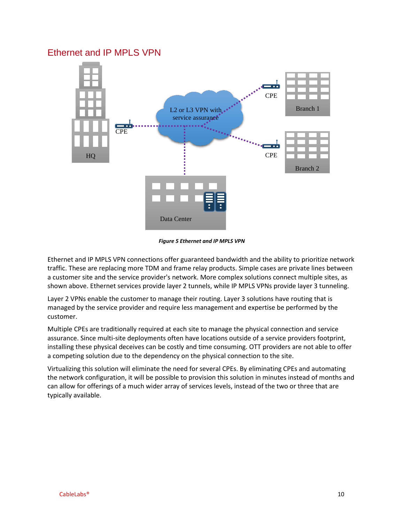#### Ethernet and IP MPLS VPN



*Figure 5 Ethernet and IP MPLS VPN*

Ethernet and IP MPLS VPN connections offer guaranteed bandwidth and the ability to prioritize network traffic. These are replacing more TDM and frame relay products. Simple cases are private lines between a customer site and the service provider's network. More complex solutions connect multiple sites, as shown above. Ethernet services provide layer 2 tunnels, while IP MPLS VPNs provide layer 3 tunneling.

Layer 2 VPNs enable the customer to manage their routing. Layer 3 solutions have routing that is managed by the service provider and require less management and expertise be performed by the customer.

Multiple CPEs are traditionally required at each site to manage the physical connection and service assurance. Since multi-site deployments often have locations outside of a service providers footprint, installing these physical deceives can be costly and time consuming. OTT providers are not able to offer a competing solution due to the dependency on the physical connection to the site.

Virtualizing this solution will eliminate the need for several CPEs. By eliminating CPEs and automating the network configuration, it will be possible to provision this solution in minutes instead of months and can allow for offerings of a much wider array of services levels, instead of the two or three that are typically available.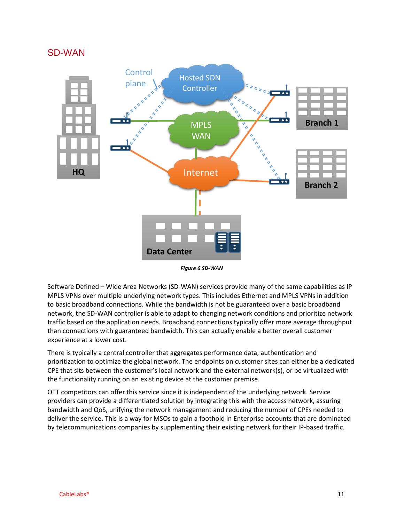#### SD-WAN



*Figure 6 SD-WAN*

Software Defined – Wide Area Networks (SD-WAN) services provide many of the same capabilities as IP MPLS VPNs over multiple underlying network types. This includes Ethernet and MPLS VPNs in addition to basic broadband connections. While the bandwidth is not be guaranteed over a basic broadband network, the SD-WAN controller is able to adapt to changing network conditions and prioritize network traffic based on the application needs. Broadband connections typically offer more average throughput than connections with guaranteed bandwidth. This can actually enable a better overall customer experience at a lower cost.

There is typically a central controller that aggregates performance data, authentication and prioritization to optimize the global network. The endpoints on customer sites can either be a dedicated CPE that sits between the customer's local network and the external network(s), or be virtualized with the functionality running on an existing device at the customer premise.

OTT competitors can offer this service since it is independent of the underlying network. Service providers can provide a differentiated solution by integrating this with the access network, assuring bandwidth and QoS, unifying the network management and reducing the number of CPEs needed to deliver the service. This is a way for MSOs to gain a foothold in Enterprise accounts that are dominated by telecommunications companies by supplementing their existing network for their IP-based traffic.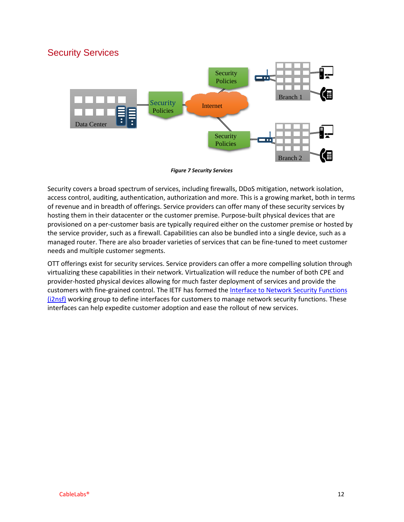#### Security Services



*Figure 7 Security Services*

Security covers a broad spectrum of services, including firewalls, DDoS mitigation, network isolation, access control, auditing, authentication, authorization and more. This is a growing market, both in terms of revenue and in breadth of offerings. Service providers can offer many of these security services by hosting them in their datacenter or the customer premise. Purpose-built physical devices that are provisioned on a per-customer basis are typically required either on the customer premise or hosted by the service provider, such as a firewall. Capabilities can also be bundled into a single device, such as a managed router. There are also broader varieties of services that can be fine-tuned to meet customer needs and multiple customer segments.

OTT offerings exist for security services. Service providers can offer a more compelling solution through virtualizing these capabilities in their network. Virtualization will reduce the number of both CPE and provider-hosted physical devices allowing for much faster deployment of services and provide the customers with fine-grained control. The IETF has formed the Interface to Network Security Functions [\(i2nsf\)](https://datatracker.ietf.org/wg/i2nsf) working group to define interfaces for customers to manage network security functions. These interfaces can help expedite customer adoption and ease the rollout of new services.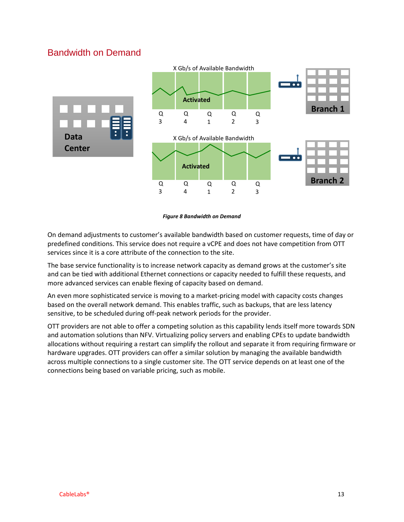### Bandwidth on Demand



*Figure 8 Bandwidth on Demand*

On demand adjustments to customer's available bandwidth based on customer requests, time of day or predefined conditions. This service does not require a vCPE and does not have competition from OTT services since it is a core attribute of the connection to the site.

The base service functionality is to increase network capacity as demand grows at the customer's site and can be tied with additional Ethernet connections or capacity needed to fulfill these requests, and more advanced services can enable flexing of capacity based on demand.

An even more sophisticated service is moving to a market-pricing model with capacity costs changes based on the overall network demand. This enables traffic, such as backups, that are less latency sensitive, to be scheduled during off-peak network periods for the provider.

OTT providers are not able to offer a competing solution as this capability lends itself more towards SDN and automation solutions than NFV. Virtualizing policy servers and enabling CPEs to update bandwidth allocations without requiring a restart can simplify the rollout and separate it from requiring firmware or hardware upgrades. OTT providers can offer a similar solution by managing the available bandwidth across multiple connections to a single customer site. The OTT service depends on at least one of the connections being based on variable pricing, such as mobile.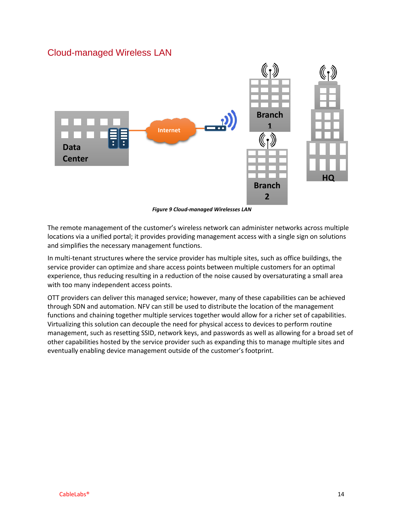#### Cloud-managed Wireless LAN



*Figure 9 Cloud-managed Wirelesses LAN*

The remote management of the customer's wireless network can administer networks across multiple locations via a unified portal; it provides providing management access with a single sign on solutions and simplifies the necessary management functions.

In multi-tenant structures where the service provider has multiple sites, such as office buildings, the service provider can optimize and share access points between multiple customers for an optimal experience, thus reducing resulting in a reduction of the noise caused by oversaturating a small area with too many independent access points.

OTT providers can deliver this managed service; however, many of these capabilities can be achieved through SDN and automation. NFV can still be used to distribute the location of the management functions and chaining together multiple services together would allow for a richer set of capabilities. Virtualizing this solution can decouple the need for physical access to devices to perform routine management, such as resetting SSID, network keys, and passwords as well as allowing for a broad set of other capabilities hosted by the service provider such as expanding this to manage multiple sites and eventually enabling device management outside of the customer's footprint.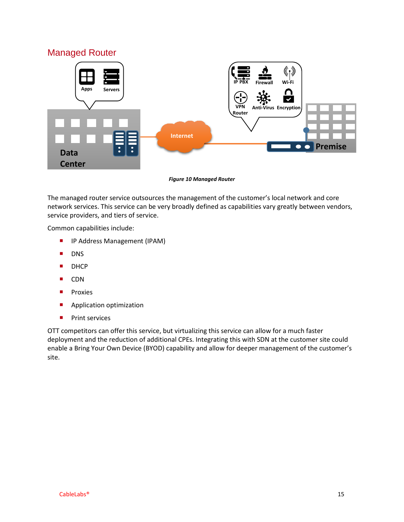#### Managed Router



*Figure 10 Managed Router*

The managed router service outsources the management of the customer's local network and core network services. This service can be very broadly defined as capabilities vary greatly between vendors, service providers, and tiers of service.

Common capabilities include:

- **I** IP Address Management (IPAM)
- **DNS**
- **DHCP**
- CDN
- **Proxies**
- **Application optimization**
- **Print services**

OTT competitors can offer this service, but virtualizing this service can allow for a much faster deployment and the reduction of additional CPEs. Integrating this with SDN at the customer site could enable a Bring Your Own Device (BYOD) capability and allow for deeper management of the customer's site.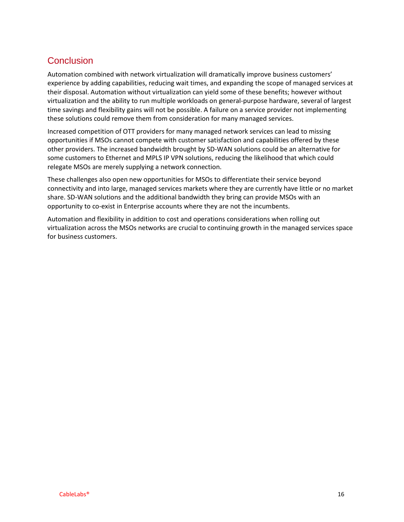## **Conclusion**

Automation combined with network virtualization will dramatically improve business customers' experience by adding capabilities, reducing wait times, and expanding the scope of managed services at their disposal. Automation without virtualization can yield some of these benefits; however without virtualization and the ability to run multiple workloads on general-purpose hardware, several of largest time savings and flexibility gains will not be possible. A failure on a service provider not implementing these solutions could remove them from consideration for many managed services.

Increased competition of OTT providers for many managed network services can lead to missing opportunities if MSOs cannot compete with customer satisfaction and capabilities offered by these other providers. The increased bandwidth brought by SD-WAN solutions could be an alternative for some customers to Ethernet and MPLS IP VPN solutions, reducing the likelihood that which could relegate MSOs are merely supplying a network connection.

These challenges also open new opportunities for MSOs to differentiate their service beyond connectivity and into large, managed services markets where they are currently have little or no market share. SD-WAN solutions and the additional bandwidth they bring can provide MSOs with an opportunity to co-exist in Enterprise accounts where they are not the incumbents.

Automation and flexibility in addition to cost and operations considerations when rolling out virtualization across the MSOs networks are crucial to continuing growth in the managed services space for business customers.